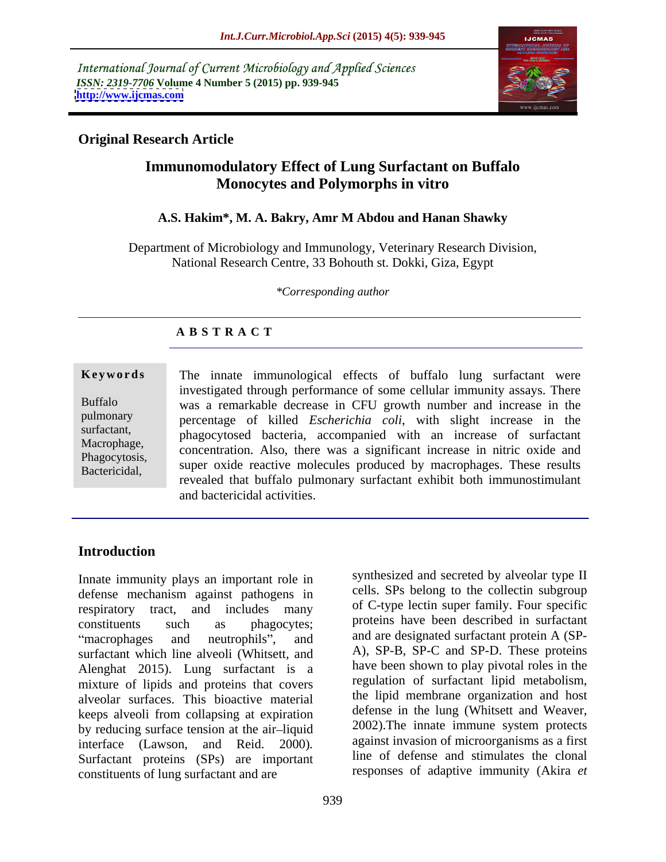International Journal of Current Microbiology and Applied Sciences *ISSN: 2319-7706* **Volume 4 Number 5 (2015) pp. 939-945 <http://www.ijcmas.com>**



## **Original Research Article**

# **Immunomodulatory Effect of Lung Surfactant on Buffalo Monocytes and Polymorphs in vitro**

## **A.S. Hakim\*, M. A. Bakry, Amr M Abdou and Hanan Shawky**

Department of Microbiology and Immunology, Veterinary Research Division, National Research Centre, 33 Bohouth st. Dokki, Giza, Egypt

*\*Corresponding author*

## **A B S T R A C T**

**Keywords** The innate immunological effects of buffalo lung surfactant were investigated through performance of some cellular immunity assays. There was a remarkable decrease in CFU growth number and increase in the Buffalo pulmonary percentage of killed *Escherichia coli*, with slight increase in the surfactant,<br>
phagocytosed bacteria, accompanied with an increase of surfactant Macrophage,<br>
concentration. Also, there was a significant increase in nitric oxide and<br>
Naccoutesis Phagocytosis,<br>Bactericidal super oxide reactive molecules produced by macrophages. These results revealed that buffalo pulmonary surfactant exhibit both immunostimulant and bactericidal activities. Bactericidal,

## **Introduction**

Innate immunity plays an important role in defense mechanism against pathogens in respiratory tract, and includes many constituents such as phagocytes; proteins have been described in surfactant surfactant which line alveoli (Whitsett, and Alenghat 2015). Lung surfactant is a mixture of lipids and proteins that covers alveolar surfaces. This bioactive material keeps alveoli from collapsing at expiration by reducing surface tension at the air-liquid interface (Lawson, and Reid. 2000)*.* Surfactant proteins (SPs) are important constituents of lung surfactant and are

macrophages and neutrophils", and are designated surfactant protein A (SPsynthesized and secreted by alveolar type II cells. SPs belong to the collectin subgroup of C-type lectin super family. Four specific A), SP-B, SP-C and SP-D. These proteins have been shown to play pivotal roles in the regulation of surfactant lipid metabolism, the lipid membrane organization and host defense in the lung (Whitsett and Weaver, 2002).The innate immune system protects against invasion of microorganisms as a first line of defense and stimulates the clonal responses of adaptive immunity (Akira *et*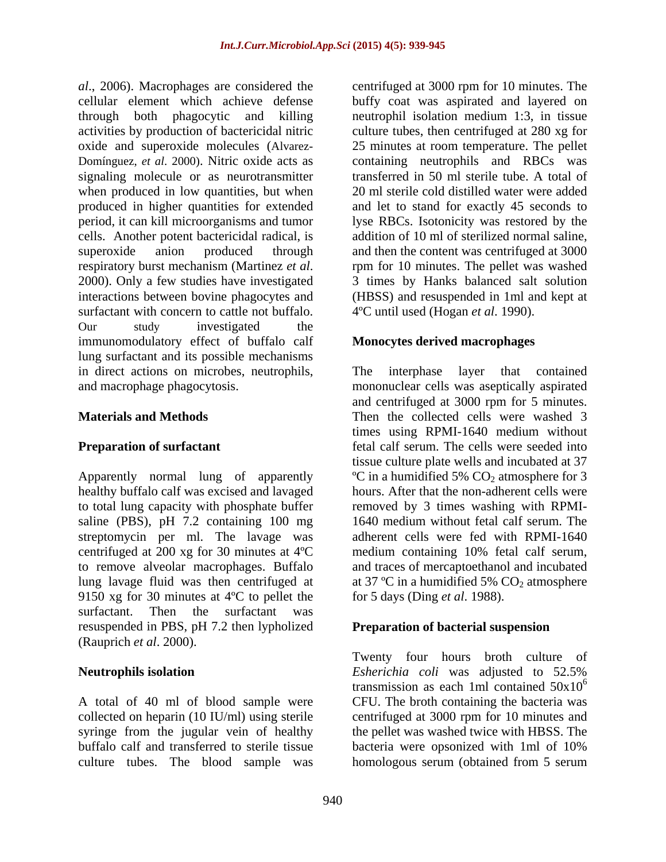*al*., 2006). Macrophages are considered the centrifuged at 3000 rpm for 10 minutes. The cellular element which achieve defense buffy coat was aspirated and layered on through both phagocytic and killing neutrophil isolation medium 1:3, in tissue activities by production of bactericidal nitric culture tubes, then centrifuged at 280 xg for oxide and superoxide molecules (Alvarez- 25 minutes at room temperature. The pellet Domínguez, *et al*. 2000). Nitric oxide acts as containing neutrophils and RBCs was signaling molecule or as neurotransmitter when produced in low quantities, but when produced in higher quantities for extended and let to stand for exactly 45 seconds to period, it can kill microorganisms and tumor lyse RBCs. Isotonicity was restored by the cells. Another potent bactericidal radical, is superoxide anion produced through and then the content was centrifuged at 3000 respiratory burst mechanism (Martinez *et al.* 2000). Only a few studies have investigated 2000). Only a few studies have investigated 3 times by Hanks balanced salt solution interactions between bovine phagocytes and (HBSS) and resuspended in 1ml and kept at surfactant with concern to cattle not buffalo. Our study investigated the immunomodulatory effect of buffalo calf lung surfactant and its possible mechanisms in direct actions on microbes, neutrophils, The interphase layer that contained and macrophage phagocytosis. mononuclear cells was aseptically aspirated

Apparently normal lung of apparently healthy buffalo calf was excised and lavaged hours. After that the non-adherent cells were to total lung capacity with phosphate buffer removed by 3 times washing with RPMIsaline (PBS), pH 7.2 containing 100 mg streptomycin per ml. The lavage was<br>centrifuged at 200 xg for 30 minutes at  $4^{\circ}C$ centrifuged at 200 xg for 30 minutes at  $4^{\circ}\text{C}$  medium containing 10% fetal calf serum, to remove alveolar macrophages. Buffalo lung lavage fluid was then centrifuged at  $\qquad$  at 37 °C in a humidified 5% CO<sub>2</sub> atmosphere 9150 xg for 30 minutes at 4ºC to pellet the surfactant. Then the surfactant was resuspended in PBS, pH 7.2 then lypholized (Rauprich *et al*. 2000).

A total of 40 ml of blood sample were buffalo calf and transferred to sterile tissue bacteria were opsonized with 1ml of 10%

transferred in 50 ml sterile tube. A total of 20 ml sterile cold distilled water were added addition of 10 ml of sterilized normal saline, rpm for 10 minutes. The pellet was washed 3 times by Hanks balanced salt solution 4ºC until used (Hogan *et al*. 1990).

### **Monocytes derived macrophages**

**Materials and Methods** Then the collected cells were washed 3 **Preparation of surfactant** entitled the set of the cells were seeded into the **Preparation of surfactant** The interphase layer that contained and centrifuged at 3000 rpm for 5 minutes. times using RPMI-1640 medium without tissue culture plate wells and incubated at 37  $\rm{^{\circ}C}$  in a humidified 5% CO<sub>2</sub> atmosphere for 3 1640 medium without fetal calf serum. The adherent cells were fed with RPMI-1640 and traces of mercaptoethanol and incubated for 5 days (Ding *et al*. 1988).

## **Preparation of bacterial suspension**

**Neutrophils isolation** Esherichia coli was adjusted to 52.5% collected on heparin (10 IU/ml) using sterile centrifuged at 3000 rpm for 10 minutes and syringe from the jugular vein of healthy the pellet was washed twice with HBSS. The culture tubes. The blood sample was homologous serum (obtained from 5 serumTwenty four hours broth culture of *Esherichia coli* was adjusted to 52.5% transmission as each 1ml contained  $50x10^6$ 6 CFU. The broth containing the bacteria was bacteria were opsonized with 1ml of 10%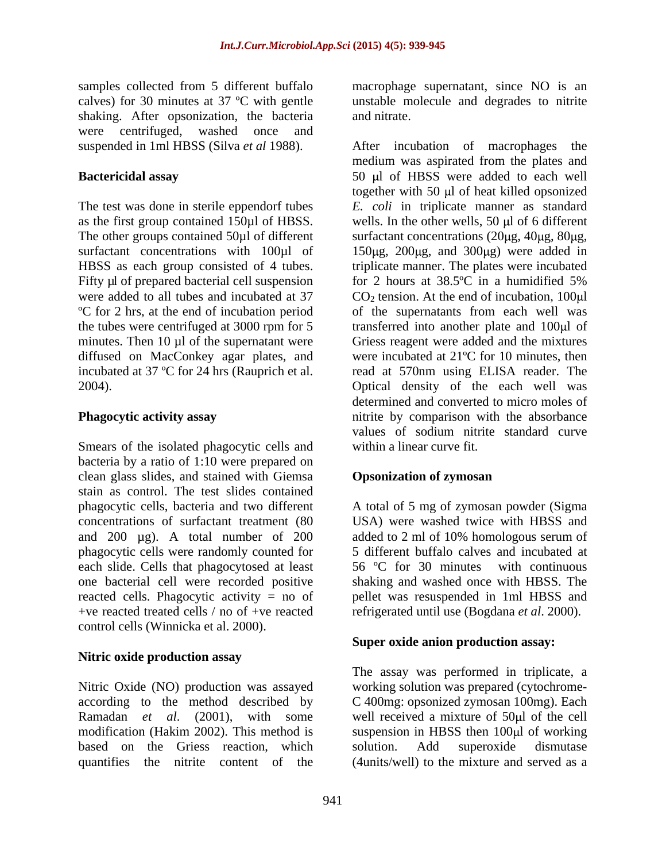shaking. After opsonization, the bacteria and nitrate. were centrifuged, washed once and

The test was done in sterile eppendorf tubes Fifty µl of prepared bacterial cell suspension for 2 hours at 38.5 °C in a humidified 5% minutes. Then  $10 \mu l$  of the supernatant were diffused on MacConkey agar plates, and

Smears of the isolated phagocytic cells and bacteria by a ratio of 1:10 were prepared on clean glass slides, and stained with Giemsa stain as control. The test slides contained phagocytic cells, bacteria and two different A total of 5 mg of zymosan powder (Sigma concentrations of surfactant treatment (80 USA) were washed twice with HBSS and and 200 µg). A total number of 200 added to 2 ml of 10% homologous serum of phagocytic cells were randomly counted for each slide. Cells that phagocytosed at least one bacterial cell were recorded positive shaking and washed once with HBSS. The reacted cells. Phagocytic activity = no of pellet was resuspended in 1ml HBSS and +ve reacted treated cells / no of +ve reacted control cells (Winnicka et al. 2000).

## **Nitric oxide production assay**

Nitric Oxide (NO) production was assayed according to the method described by C 400mg: opsonized zymosan 100mg). Each Ramadan *et al.* (2001), with some well received a mixture of 50 µl of the cell modification (Hakim 2002). This method is suspension in HBSS then 100 µl of working based on the Griess reaction, which solution. Add superoxide dismutase

samples collected from 5 different buffalo macrophage supernatant, since NO is an calves) for 30 minutes at 37 ºC with gentle unstable molecule and degrades to nitrite and nitrate.

suspended in 1ml HBSS (Silva *et al* 1988). After incubation of macrophages the **Bactericidal assay** 50 µ of HBSS were added to each well as the first group contained  $150\mu$ l of HBSS. wells. In the other wells, 50  $\mu$ l of 6 different The other groups contained 50µl of different surfactant concentrations (20µg, 40µg, 80µg, surfactant concentrations with  $100\mu$ l of  $150\mu$ g,  $200\mu$ g, and  $300\mu$ g) were added in HBSS as each group consisted of 4 tubes. triplicate manner. The plates were incubated were added to all tubes and incubated at  $37 \text{ CO}_2$  tension. At the end of incubation, 100 $\mu$ l ºC for 2 hrs, at the end of incubation period of the supernatants from each well was the tubes were centrifuged at 3000 rpm for 5 transferred into another plate and 100 µl of incubated at 37 ºC for 24 hrs (Rauprich et al. read at 570nm using ELISA reader. The 2004). Optical density of the each well was **Phagocytic activity assay** nitrite by comparison with the absorbance medium was aspirated from the plates and together with 50  $\mu$ l of heat killed opsonized *E. coli* in triplicate manner as standard for 2 hours at 38.5ºC in a humidified 5% Griess reagent were added and the mixtures were incubated at 21ºC for 10 minutes, then determined and converted to micro moles of values of sodium nitrite standard curve within a linear curve fit.

## **Opsonization of zymosan**

added to 2 ml of 10% homologous serum of 5 different buffalo calves and incubated at 56 ºC for 30 minutes with continuous refrigerated until use (Bogdana *et al*. 2000).

## **Super oxide anion production assay:**

quantifies the nitrite content of the (4units/well) to the mixture and served asaThe assay was performed in triplicate, a working solution was prepared (cytochrome solution. Add superoxide dismutase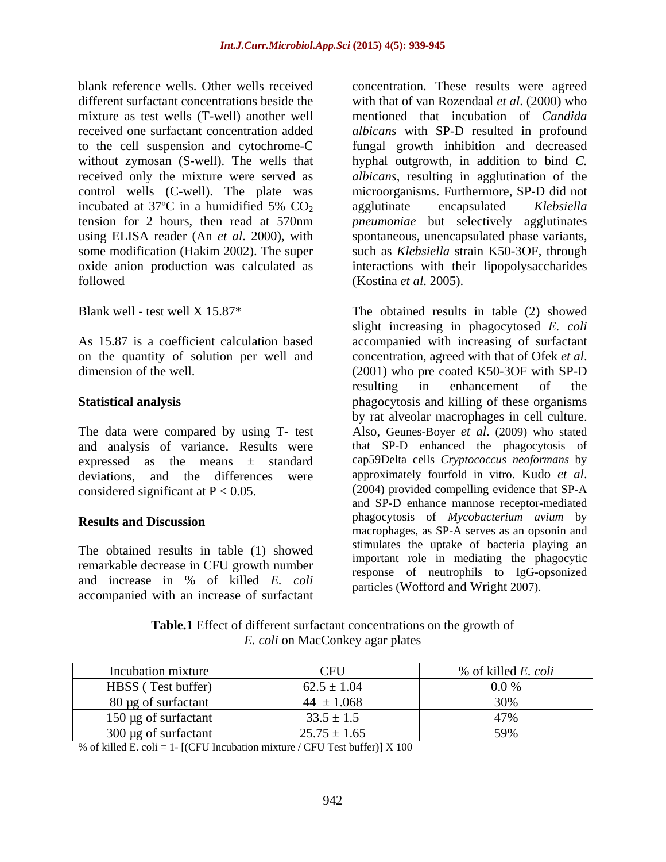blank reference wells. Other wells received concentration. These results were agreed different surfactant concentrations beside the with that of van Rozendaal *et al*. (2000) who mixture as test wells (T-well) another well received one surfactant concentration added *albicans* with SP-D resulted in profound to the cell suspension and cytochrome-C fungal growth inhibition and decreased without zymosan (S-well). The wells that received only the mixture were served as *albicans*, resulting in agglutination of the control wells (C-well). The plate was incubated at 37°C in a humidified 5%  $CO<sub>2</sub>$  agglutinate encapsulated Klebsiella tension for 2 hours, then read at 570nm *pneumoniae* but selectively agglutinates using ELISA reader (An *et al*. 2000), with spontaneous, unencapsulated phase variants, some modification (Hakim 2002). The super such as *Klebsiella* strain K50-3OF, through oxide anion production was calculated as interactions with their lipopolysaccharides followed (Kostina *et al.* 2005).

on the quantity of solution per well and concentration, agreed with that of Ofek *et al.* dimension of the well. (2001) who pre coated K50-3OF with SP-D

and analysis of variance. Results were expressed as the means  $\pm$  standard cap59Delta cells Cryptococcus neoformans by deviations and the differences were approximately fourfold in vitro. Kudo *et al*. deviations, and the differences were considered significant at  $P < 0.05$ . (2004) provided compelling evidence that SP-A

The obtained results in table (1) showed remarkable decrease in CFU growth number and increase in % of killed *E. coli* accompanied with an increase of surfactant

mentioned that incubation of *Candida*  hyphal outgrowth, in addition to bind *C.*  microorganisms. Furthermore, SP-D did not agglutinate encapsulated *Klebsiella*  (Kostina *et al*. 2005).

Blank well - test well X 15.87<sup>\*</sup> The obtained results in table (2) showed As 15.87 is a coefficient calculation based accompanied with increasing of surfactant **Statistical analysis** phagocytosis and killing of these organisms The data were compared by using T- test Also, Geunes-Boyer *et al*. (2009) who stated **Results and Discussion Example 3 CONSERVIES CONSERVIES CONSERVIES CONSERVIES CONSERVIES CONSERVIES CONSERVIES CONSERVIES CONSERVIES CONSERVIES CONSERVIES CONSERVIES CONSERVIES CONSERVIES CO** slight increasing in phagocytosed *E. coli* concentration, agreed with that of Ofek *et al*. (2001) who pre coated K50-3OF with SP-D resulting in enhancement of the by rat alveolar macrophages in cell culture. that SP-D enhanced the phagocytosis of cap59Delta cells *Cryptococcus neoformans* by approximately fourfold in vitro. Kudo *et al*. (2004) provided compelling evidence that SP-A and SP-D enhance mannose receptor-mediated phagocytosis of *Mycobacterium avium* by macrophages, as SP-A serves as an opsonin and stimulates the uptake of bacteria playing an important role in mediating the phagocytic response of neutrophils to IgG-opsonized particles (Wofford and Wright 2007).

**Table.1** Effect of different surfactant concentrations on the growth of *E. coli* on MacConkey agar plates

| Incubation mixture        | CFU              | of killed E. coli             |
|---------------------------|------------------|-------------------------------|
| HBSS (Test buffer)        | $62.5 \pm 1.04$  | $\sim$ $\sim$ $\sim$<br>0.070 |
| 80 μg of surfactant       | $44 \pm 1.068$   |                               |
| 150 µg of surfactant      | $33.5 \pm 1.5$   |                               |
| $300 \mu g$ of surfactant | $25.75 \pm 1.65$ | FOM                           |

% of killed E. coli = 1-  $[(CFU Incubation mixture / CFU Test buffer)] \times 100$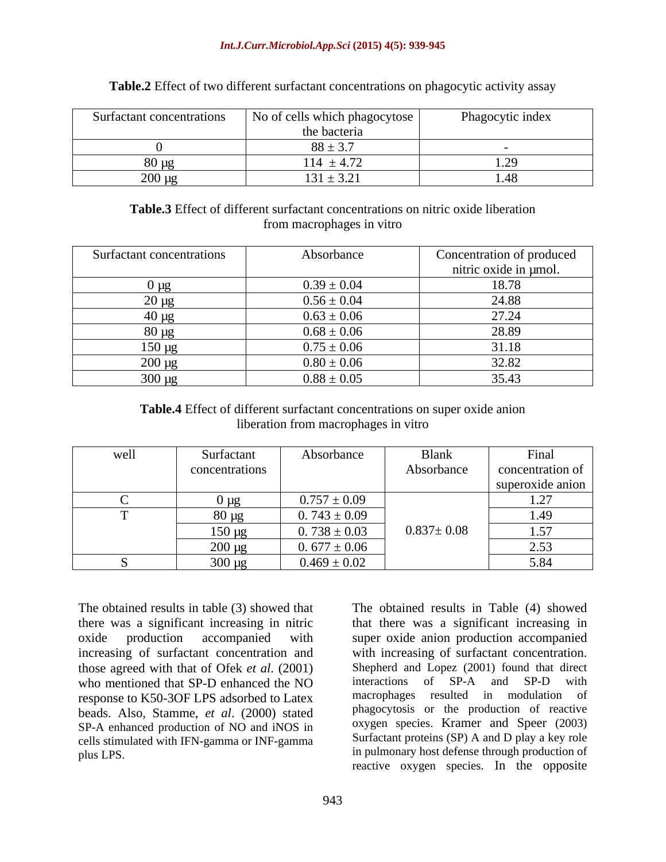### *Int.J.Curr.Microbiol.App.Sci* **(2015) 4(5): 939-945**

| Surfactant concentrations | $\cdots$<br>$\mathbf{r}$<br>No of cells which phagocytose | Phagocytic index    |
|---------------------------|-----------------------------------------------------------|---------------------|
|                           | the bacteria                                              |                     |
|                           | $x x +$<br>$00 - 3$                                       |                     |
|                           | $.14 \pm 4.72$                                            | . ۔                 |
| $200 \mu g$               | $131 \pm 3.21$                                            | $\overline{a}$ . To |

**Table.2** Effect of two different surfactant concentrations on phagocytic activity assay

### **Table.3** Effect of different surfactant concentrations on nitric oxide liberation from macrophages in vitro

| Surfactant concentrations | Absorbance      | Concentration of produced |
|---------------------------|-----------------|---------------------------|
|                           |                 | nitric oxide in µmol.     |
| ug)                       | $0.39 \pm 0.04$ | 18.78                     |
| $20 \mu g$                | $0.56 \pm 0.04$ | 24.88                     |
| $40 \mu g$                | $0.63 \pm 0.06$ | 27.24                     |
| $80 \mu g$                | $0.68 \pm 0.06$ | 28.89                     |
| $150 \mu g$               | $0.75 \pm 0.06$ | 31.18                     |
| $200 \mu g$               | $0.80 \pm 0.06$ | 32.82                     |
| 300 µg                    | $0.88 \pm 0.05$ | 35.43                     |

| Table.4 Effect<br>ct of different surfactant concentrations on super oxide anion |  |
|----------------------------------------------------------------------------------|--|
| in vitro<br>liberation from macrophages i                                        |  |

| well | Surfactant        | Absorbance       | <b>Blank</b>     | Final                         |
|------|-------------------|------------------|------------------|-------------------------------|
|      | concentrations    |                  | Absorbance       | concentration of              |
|      |                   |                  |                  | superoxide anion              |
|      | ) ug              | $0.757 \pm 0.09$ |                  | $\gamma$<br>$\perp$ . $\perp$ |
|      | $80 \mu g$<br>. . | $0.743 \pm 0.09$ |                  | 1.49                          |
|      | $150 \mu g$       | $0.738 \pm 0.03$ | $0.837 \pm 0.08$ | 1.57                          |
|      | $200 \mu g$       | $0.677 \pm 0.06$ |                  | 2.53                          |
|      | $300 \mu g$       | $0.469 \pm 0.02$ |                  | 5.84                          |

The obtained results in table (3) showed that The obtained results in Table (4) showed those agreed with that of Ofek *et al.* (2001) Shepherd and Lopez (2001) found that direct<br>who mentioned that SP-D enhanced the NO interactions of SP-A and SP-D with who mentioned that SP-D enhanced the NO response to K50-3OF LPS adsorbed to Latex beads. Also, Stamme, *et al*. (2000) stated SP-A enhanced production of NO and iNOS in cells stimulated with IFN-gamma or INF-gamma

there was a significant increasing in nitric that there was a significant increasing in oxide production accompanied with super oxide anion production accompanied increasing of surfactant concentration and with increasing of surfactant concentration. plus LPS. **Example 1998** in pulmonary host defense through production of Shepherd and Lopez (2001) found that direct interactions of SP-A and SP-D with macrophages resulted in modulation of phagocytosis or the production of reactive oxygen species. Kramer and Speer (2003) Surfactant proteins (SP) A and D play a key role reactive oxygen species. In the opposite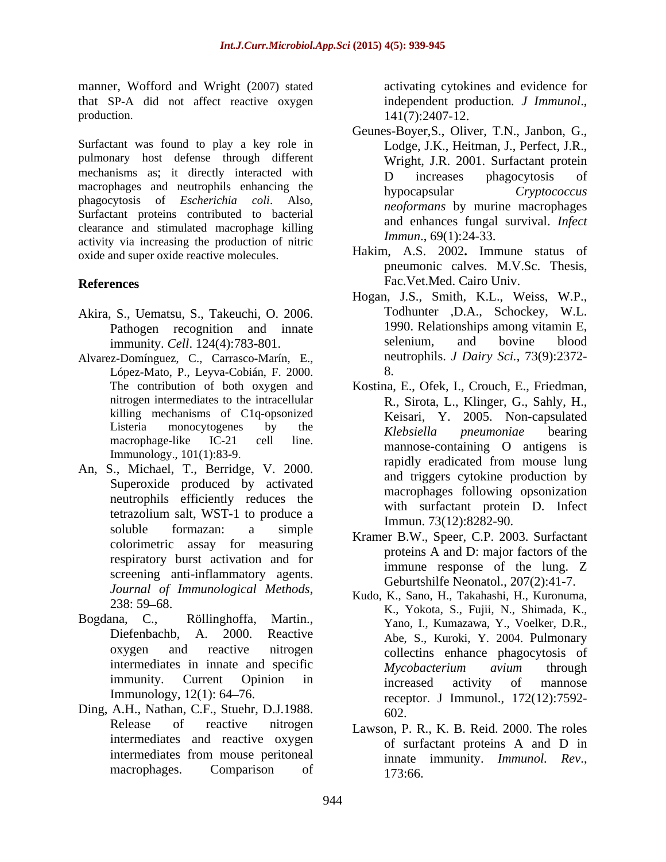manner, Wofford and Wright (2007) stated that SP-A did not affect reactive oxygen production. 141(7):2407-12.

Surfactant was found to play a key role in pulmonary host defense through different mechanisms as; it directly interacted with  $D$  increases phagocytosis of macrophages and neutrophils enhancing the hypocapsular Cryptococcus phagocytosis of *Escherichia coli*. Also, Surfactant proteins contributed to bacterial clearance and stimulated macrophage killing activity via increasing the production of nitric oxide and super oxide reactive molecules.

- immunity. *Cell*. 124(4):783-801.
- Alvarez-Domínguez, C., Carrasco-Marín, E., López-Mato, P., Leyva-Cobián, F. 2000. killing mechanisms of C1q-opsonized
- An, S., Michael, T., Berridge, V. 2000. Superoxide produced by activated neutrophils efficiently reduces the soluble formazan: a simple  $V_{\text{ramp} \text{B} \text{W}}$   $S_{\text{ramp}} \text{C} \text{D}$   $2002 \text{ S} \cdot \text{m}$ colorimetric assay for measuring respiratory burst activation and for screening anti-inflammatory agents.
- 
- Ding, A.H., Nathan, C.F., Stuehr, D.J.1988. 602.

activating cytokines and evidence for independent production*. J Immunol*.,

- Geunes-Boyer,S., Oliver, T.N., Janbon, G., Lodge, J.K., Heitman, J., Perfect, J.R., Wright, J.R. 2001. Surfactant protein D increases phagocytosis of hypocapsular *Cryptococcus neoformans* by murine macrophages and enhances fungal survival. *Infect Immun*., 69(1):24-33.
- References Fac. Vet.Med. Cairo Univ. Hakim, A.S. 2002**.** Immune status of pneumonic calves. M.V.Sc. Thesis, Fac.Vet.Med. Cairo Univ.
- Akira, S., Uematsu, S., Takeuchi, O. 2006. Todhunter , D.A., Schockey, W.L.<br>Pathogen recognition and innate 1990. Relationships among vitamin E, Pathogen recognition and innate 1990. Relationships among vitamin E,<br>immunity Cell 124(4):783-801 selenium, and bovine blood Hogan, J.S., Smith, K.L., Weiss, W.P.,<br>Todhunter ,D.A., Schockey, W.L.<br>1990. Relationships among vitamin E, selenium, and bovine blood neutrophils. *J Dairy Sci.*, 73(9):2372- 8.
	- The contribution of both oxygen and Kostina, E., Ofek, I., Crouch, E., Friedman, nitrogen intermediates to the intracellular R., Sirota, L., Klinger, G., Sahly, H., Listeria monocytogenes by the  $Klobsiella$  *nneumoniae* hearing Listeria monocytogenes by the *Klebsiella pneumoniae* bearing<br>macrophage-like IC-21 cell line. *Klebsiella pneumoniae* bearing<br>mannose-containing O antigens is Immunology., 101(1):83-9.<br>
	Fraction condition of the Condition of the Condition of the Condition of the Condition of the Condition of the Condition of the Condition of the Condition of the Condition of the Condition of the tetrazolium salt, WST-1 to produce a  $\frac{\text{w}}{\text{Im}m}$   $\frac{301 \text{a} \times 10^{10} \text{m}}{22(12) \cdot 8282 \text{ m}}$ Keisari, Y. 2005. Non-capsulated *Klebsiella pneumoniae* bearing mannose-containing O antigens is rapidly eradicated from mouse lung and triggers cytokine production by macrophages following opsonization with surfactant protein D. Infect Immun. 73(12):8282-90.
		- Kramer B.W., Speer, C.P. 2003. Surfactant proteins A and D: major factors of the immune response of the lung. Z Geburtshilfe Neonatol., 207(2):41-7.
- *Journal of Immunological Methods*, 238: 59 68. 258: 59–08.<br>Bogdana, C., Röllinghoffa, Martin., K., Yokota, S., Fujii, N., Shimada, K., Togdana, C., Röllinghoffa, Martin., Yano, I., Kumazawa, Y., Voelker, D.R., Diefenbachb, A. 2000. Reactive Abe, S., Kuroki, Y. 2004. Pulmonary oxygen and reactive nitrogen collectins enhance phagocytosis of intermediates in innate and specific Mycobacterium avium through immunity. Current Opinion in *increased activity of mannose* Immunology, 12(1): 64–76.<br>
receptor. J Immunol., 172(12):7592-Kudo, K., Sano, H., Takahashi, H., Kuronuma, K., Yokota, S., Fujii, N., Shimada, K., Yano, I., Kumazawa, Y., Voelker, D.R., Abe, S., Kuroki, Y. 2004. Pulmonary *Mycobacterium avium* through increased activity of mannose 602.
	- Release of reactive nitrogen Lawson, P. R., K. B. Reid. 2000. The roles intermediates and reactive oxygen of surfactant proteins A and D in intermediates from mouse peritoneal innate immunity *Immunol Rev* macrophages. Comparison of  $173.66$ of surfactant proteins A and D in innate immunity. *Immunol. Rev*., 173:66.